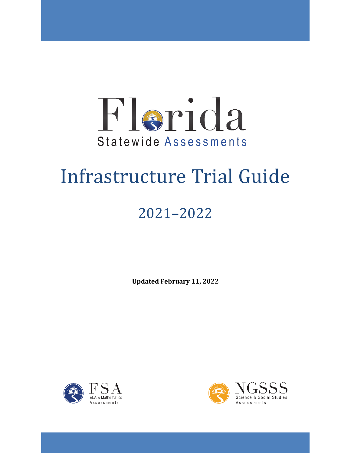

# Infrastructure Trial Guide

# 2021–2022

**Updated February 11, 2022** 



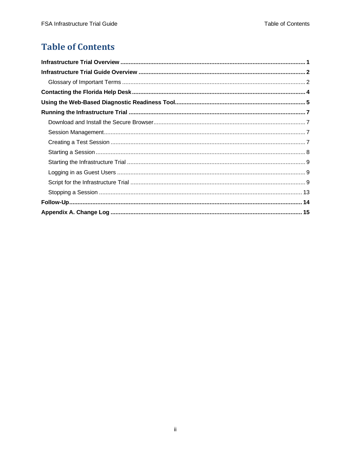## **Table of Contents**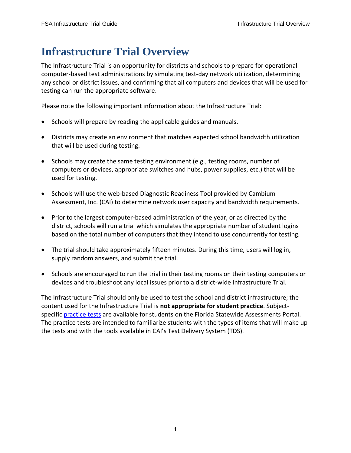# <span id="page-2-0"></span>**Infrastructure Trial Overview**

 The Infrastructure Trial is an opportunity for districts and schools to prepare for operational computer-based test administrations by simulating test-day network utilization, determining any school or district issues, and confirming that all computers and devices that will be used for testing can run the appropriate software.

Please note the following important information about the Infrastructure Trial:

- Schools will prepare by reading the applicable guides and manuals.
- • Districts may create an environment that matches expected school bandwidth utilization that will be used during testing.
- • Schools may create the same testing environment (e.g., testing rooms, number of computers or devices, appropriate switches and hubs, power supplies, etc.) that will be used for testing.
- • Schools will use the web-based Diagnostic Readiness Tool provided by Cambium Assessment, Inc. (CAI) to determine network user capacity and bandwidth requirements.
- • Prior to the largest computer-based administration of the year, or as directed by the district, schools will run a trial which simulates the appropriate number of student logins based on the total number of computers that they intend to use concurrently for testing.
- • The trial should take approximately fifteen minutes. During this time, users will log in, supply random answers, and submit the trial.
- • Schools are encouraged to run the trial in their testing rooms on their testing computers or devices and troubleshoot any local issues prior to a district-wide Infrastructure Trial.

 The Infrastructure Trial should only be used to test the school and district infrastructure; the content used for the Infrastructure Trial is **not appropriate for student practice**. Subjectspecific *practice tests* are available for students on the Florida Statewide Assessments Portal. The practice tests are intended to familiarize students with the types of items that will make up the tests and with the tools available in CAI's Test Delivery System (TDS).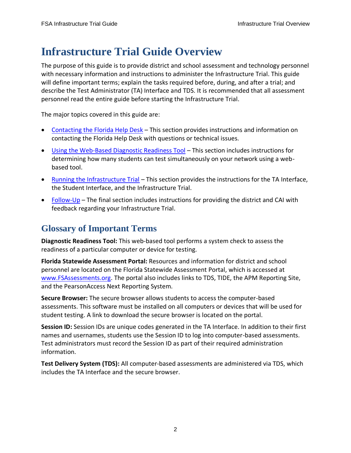# <span id="page-3-0"></span>**Infrastructure Trial Guide Overview**

 The purpose of this guide is to provide district and school assessment and technology personnel with necessary information and instructions to administer the Infrastructure Trial. This guide will define important terms; explain the tasks required before, during, and after a trial; and describe the Test Administrator (TA) Interface and TDS. It is recommended that all assessment personnel read the entire guide before starting the Infrastructure Trial.

The major topics covered in this guide are:

- [Contacting the Florida Help Desk](#page-5-0)  This section provides instructions and information on contacting the Florida Help Desk with questions or technical issues.
- [Using the Web-Based Diagnostic Readiness Tool](#page-6-0)  This section includes instructions for determining how many students can test simultaneously on your network using a webbased tool.
- [Running the Infrastructure Trial](#page-8-0)  This section provides the instructions for the TA Interface, the Student Interface, and the Infrastructure Trial.
- [Follow-Up](#page-15-0)  The final section includes instructions for providing the district and CAI with feedback regarding your Infrastructure Trial.

## <span id="page-3-1"></span>**Glossary of Important Terms**

 **Diagnostic Readiness Tool:** This web-based tool performs a system check to assess the readiness of a particular computer or device for testing.

 personnel are located on the Florida Statewide Assessment Portal, which is accessed at [www.FSAssessments.org.](http://www.fsassessments.org/) The portal also includes links to TDS, TIDE, the APM Reporting Site, **Florida Statewide Assessment Portal:** Resources and information for district and school and the PearsonAccess Next Reporting System.

 **Secure Browser:** The secure browser allows students to access the computer-based assessments. This software must be installed on all computers or devices that will be used for student testing. A link to download the secure browser is located on the portal.

 **Session ID:** Session IDs are unique codes generated in the TA Interface. In addition to their first names and usernames, students use the Session ID to log into computer-based assessments. Test administrators must record the Session ID as part of their required administration information.

 **Test Delivery System (TDS):** All computer-based assessments are administered via TDS, which includes the TA Interface and the secure browser.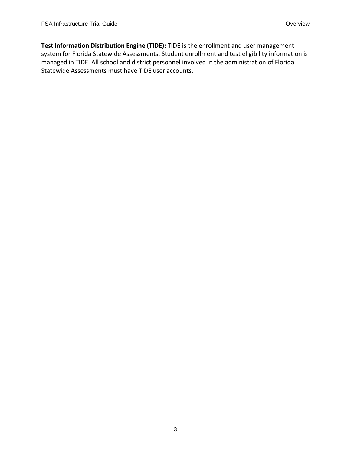**Test Information Distribution Engine (TIDE):** TIDE is the enrollment and user management system for Florida Statewide Assessments. Student enrollment and test eligibility information is managed in TIDE. All school and district personnel involved in the administration of Florida Statewide Assessments must have TIDE user accounts.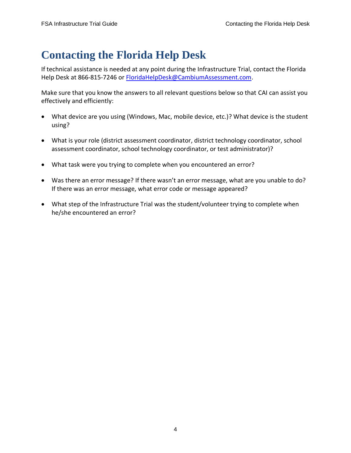# <span id="page-5-0"></span>**Contacting the Florida Help Desk**

If technical assistance is needed at any point during the Infrastructure Trial, contact the Florida Help Desk at 866-815-7246 or [FloridaHelpDesk@CambiumAssessment.com.](mailto:FloridaHelpDesk@CambiumAssessment.com)

 Make sure that you know the answers to all relevant questions below so that CAI can assist you effectively and efficiently:

- • What device are you using (Windows, Mac, mobile device, etc.)? What device is the student using?
- • What is your role (district assessment coordinator, district technology coordinator, school assessment coordinator, school technology coordinator, or test administrator)?
- What task were you trying to complete when you encountered an error?
- • Was there an error message? If there wasn't an error message, what are you unable to do? If there was an error message, what error code or message appeared?
- • What step of the Infrastructure Trial was the student/volunteer trying to complete when he/she encountered an error?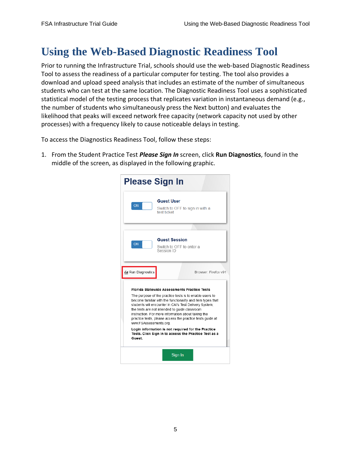# <span id="page-6-0"></span>**Using the Web-Based Diagnostic Readiness Tool**

 Prior to running the Infrastructure Trial, schools should use the web-based Diagnostic Readiness Tool to assess the readiness of a particular computer for testing. The tool also provides a statistical model of the testing process that replicates variation in instantaneous demand (e.g., download and upload speed analysis that includes an estimate of the number of simultaneous students who can test at the same location. The Diagnostic Readiness Tool uses a sophisticated the number of students who simultaneously press the Next button) and evaluates the likelihood that peaks will exceed network free capacity (network capacity not used by other processes) with a frequency likely to cause noticeable delays in testing.

To access the Diagnostics Readiness Tool, follow these steps:

 1. From the Student Practice Test *Please Sign In* screen, click **Run Diagnostics**, found in the middle of the screen, as displayed in the following graphic.

| <b>Please Sign In</b>                                                                                                                                                                                                                                                                                                                                                                                                                |                                                                     |  |  |
|--------------------------------------------------------------------------------------------------------------------------------------------------------------------------------------------------------------------------------------------------------------------------------------------------------------------------------------------------------------------------------------------------------------------------------------|---------------------------------------------------------------------|--|--|
| ON                                                                                                                                                                                                                                                                                                                                                                                                                                   | <b>Guest User</b><br>Switch to OFF to sign in with a<br>test ticket |  |  |
|                                                                                                                                                                                                                                                                                                                                                                                                                                      |                                                                     |  |  |
| ON                                                                                                                                                                                                                                                                                                                                                                                                                                   | <b>Guest Session</b><br>Switch to OFF to enter a<br>Session ID      |  |  |
| <b>ILI</b> Run Diagnostics                                                                                                                                                                                                                                                                                                                                                                                                           | Browser: Firefox v91                                                |  |  |
| <b>Florida Statewide Assessments Practice Tests</b><br>The purpose of the practice tests is to enable users to<br>become familiar with the functionality and item types that<br>students will encounter in CAI's Test Delivery System;<br>the tests are not intended to quide classroom<br>instruction. For more information about taking the<br>practice tests, please access the practice tests quide at<br>www.FSAssessments.org. |                                                                     |  |  |
| Login information is not required for the Practice<br>Tests. Click Sign In to access the Practice Test as a<br>Guest.                                                                                                                                                                                                                                                                                                                |                                                                     |  |  |
|                                                                                                                                                                                                                                                                                                                                                                                                                                      | Sign In                                                             |  |  |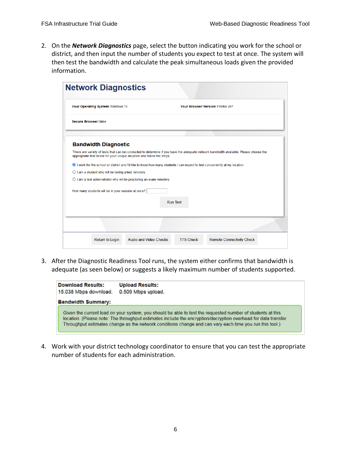2. On the *Network Diagnostics* page, select the button indicating you work for the school or district, and then input the number of students you expect to test at once. The system will then test the bandwidth and calculate the peak simultaneous loads given the provided information.

|                                                                               | Your Browser Version: Firefox v97                                                                                                     |
|-------------------------------------------------------------------------------|---------------------------------------------------------------------------------------------------------------------------------------|
| <b>Secure Browser: false</b>                                                  |                                                                                                                                       |
| <b>Bandwidth Diagnostic</b>                                                   |                                                                                                                                       |
| appropriate test below for your unique situation and follow the steps.        | There are variety of tests that can be conducted to determine if you have the adequate network bandwidth available. Please choose the |
|                                                                               | I work for the school or district and I'd like to know how many students I can expect to test concurrently at my location.            |
|                                                                               |                                                                                                                                       |
| $\bigcirc$ I am a student who will be taking a test remotely.                 |                                                                                                                                       |
| $\bigcirc$ I am a test administrator who will be proctoring an exam remotely. |                                                                                                                                       |
| How many students will be in your session at once?                            | <b>Run Test</b>                                                                                                                       |
|                                                                               |                                                                                                                                       |

 3. After the Diagnostic Readiness Tool runs, the system either confirms that bandwidth is adequate (as seen below) or suggests a likely maximum number of students supported.

| <b>Download Results:</b><br>15.038 Mbps download. | <b>Upload Results:</b><br>0.509 Mbps upload.                                                                                                                                                                                                                                                                                            |
|---------------------------------------------------|-----------------------------------------------------------------------------------------------------------------------------------------------------------------------------------------------------------------------------------------------------------------------------------------------------------------------------------------|
| <b>Bandwidth Summary:</b>                         |                                                                                                                                                                                                                                                                                                                                         |
|                                                   | Given the current load on your system, you should be able to test the requested number of students at this<br>location. (Please note: The throughput estimates include the encryption/decryption overhead for data transfer.<br>Throughput estimates change as the network conditions change and can vary each time you run this tool.) |

 4. Work with your district technology coordinator to ensure that you can test the appropriate number of students for each administration.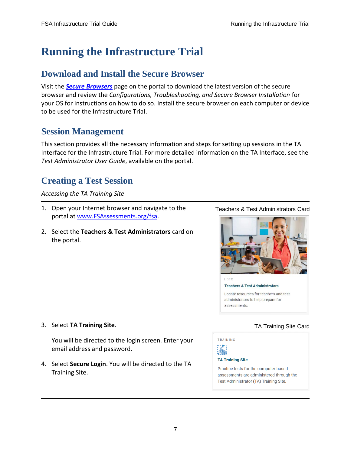# <span id="page-8-0"></span>**Running the Infrastructure Trial**

### <span id="page-8-1"></span>**Download and Install the Secure Browser**

 Visit the *[Secure Browsers](https://fsassessments.org/secure-browsers.html)* page on the portal to download the latest version of the secure  browser and review the *Configurations, Troubleshooting, and Secure Browser Installation* for your OS for instructions on how to do so. Install the secure browser on each computer or device to be used for the Infrastructure Trial.

### <span id="page-8-2"></span>**Session Management**

 This section provides all the necessary information and steps for setting up sessions in the TA Interface for the Infrastructure Trial. For more detailed information on the TA Interface, see the *Test Administrator User Guide*, available on the portal.

### <span id="page-8-3"></span>**Creating a Test Session**

#### *Accessing the TA Training Site*

- 1. Open your Internet browser and navigate to the portal at [www.FSAssessments.org/fsa.](https://fsassessments.org/index.html)
- 2. Select the **Teachers & Test Administrators** card on the portal.

#### Teachers & Test Administrators Card



**Teachers & Test Administrators** Locate resources for teachers and test administrators to help prepare for assessments.

#### 3. Select **TA Training Site**.

 You will be directed to the login screen. Enter your email address and password.

 4. Select **Secure Login**. You will be directed to the TA Training Site.

#### TA Training Site Card



#### **TA Training Site**

Practice tests for the computer-based assessments are administered through the Test Administrator (TA) Training Site.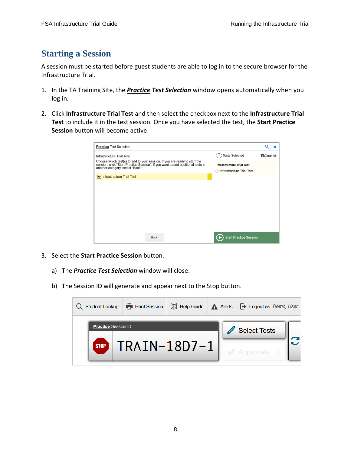### <span id="page-9-0"></span>**Starting a Session**

 A session must be started before guest students are able to log in to the secure browser for the Infrastructure Trial.

- 1. In the TA Training Site, the *Practice Test Selection* window opens automatically when you log in.
- 2. Click **Infrastructure Trial Test** and then select the checkbox next to the **Infrastructure Trial Test** to include it in the test session. Once you have selected the test, the **Start Practice Session** button will become active.

| <b>Practice Test Selection</b>                                                                                                                                                                    |                                  | Q<br>×            |
|---------------------------------------------------------------------------------------------------------------------------------------------------------------------------------------------------|----------------------------------|-------------------|
| Infrastructure Trial Test                                                                                                                                                                         | <b>Tests Selected</b>            | <b>而Clear All</b> |
| Choose which test(s) to add to your session. If you are ready to start the<br>session, click "Start Practice Session". If you want to add additional tests in<br>another category, select "Back". | <b>Infrastructure Trial Test</b> |                   |
|                                                                                                                                                                                                   | Infrastructure Trial Test        |                   |
| $\triangleright$ Infrastructure Trial Test                                                                                                                                                        |                                  |                   |
|                                                                                                                                                                                                   |                                  |                   |
|                                                                                                                                                                                                   |                                  |                   |
|                                                                                                                                                                                                   |                                  |                   |
|                                                                                                                                                                                                   |                                  |                   |
|                                                                                                                                                                                                   |                                  |                   |
|                                                                                                                                                                                                   |                                  |                   |
|                                                                                                                                                                                                   |                                  |                   |
|                                                                                                                                                                                                   |                                  |                   |
| <b>Back</b>                                                                                                                                                                                       | <b>Start Practice Session</b>    |                   |

- 3. Select the **Start Practice Session** button.
	- a) The *Practice Test Selection* window will close.
	- b) The Session ID will generate and appear next to the Stop button.

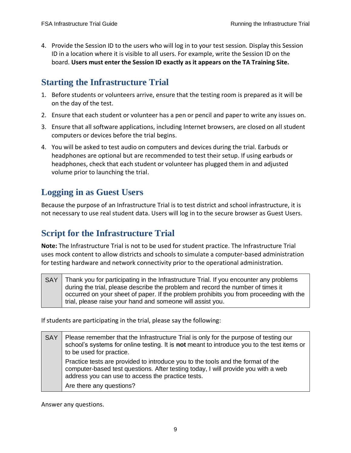4. Provide the Session ID to the users who will log in to your test session. Display this Session ID in a location where it is visible to all users. For example, write the Session ID on the board. **Users must enter the Session ID exactly as it appears on the TA Training Site.** 

### <span id="page-10-0"></span> **Starting the Infrastructure Trial**

- 1. Before students or volunteers arrive, ensure that the testing room is prepared as it will be on the day of the test.
- 2. Ensure that each student or volunteer has a pen or pencil and paper to write any issues on.
- 3. Ensure that all software applications, including Internet browsers, are closed on all student computers or devices before the trial begins.
- 4. You will be asked to test audio on computers and devices during the trial. Earbuds or headphones are optional but are recommended to test their setup. If using earbuds or headphones, check that each student or volunteer has plugged them in and adjusted volume prior to launching the trial.

### <span id="page-10-1"></span>**Logging in as Guest Users**

 Because the purpose of an Infrastructure Trial is to test district and school infrastructure, it is not necessary to use real student data. Users will log in to the secure browser as Guest Users.

### <span id="page-10-2"></span>**Script for the Infrastructure Trial**

 **Note:** The Infrastructure Trial is not to be used for student practice. The Infrastructure Trial uses mock content to allow districts and schools to simulate a computer-based administration for testing hardware and network connectivity prior to the operational administration.

SAY Thank you for participating in the Infrastructure Trial. If you encounter any problems during the trial, please describe the problem and record the number of times it occurred on your sheet of paper. If the problem prohibits you from proceeding with the trial, please raise your hand and someone will assist you.

If students are participating in the trial, please say the following:

SAY | Please remember that the Infrastructure Trial is only for the purpose of testing our school's systems for online testing. It is **not** meant to introduce you to the test items or to be used for practice. Practice tests are provided to introduce you to the tools and the format of the computer-based test questions. After testing today, I will provide you with a web address you can use to access the practice tests. Are there any questions?

Answer any questions.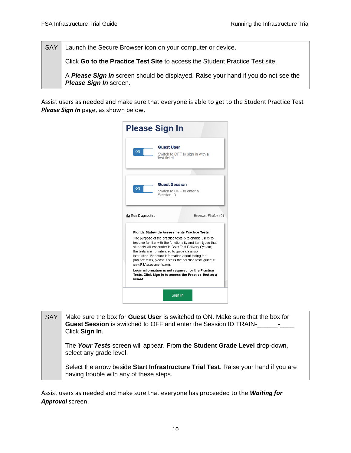SAY | Launch the Secure Browser icon on your computer or device.

 Click **Go to the Practice Test Site** to access the Student Practice Test site.

 A *Please Sign In* screen should be displayed. Raise your hand if you do not see the *Please Sign In* screen.

 Assist users as needed and make sure that everyone is able to get to the Student Practice Test *Please Sign In* page, as shown below.

| <b>Please Sign In</b>       |                                                                                                                                                                                                                                                                                                                                                                                                                               |  |  |  |
|-----------------------------|-------------------------------------------------------------------------------------------------------------------------------------------------------------------------------------------------------------------------------------------------------------------------------------------------------------------------------------------------------------------------------------------------------------------------------|--|--|--|
| ON                          | <b>Guest User</b><br>Switch to OFF to sign in with a<br>test ticket                                                                                                                                                                                                                                                                                                                                                           |  |  |  |
|                             |                                                                                                                                                                                                                                                                                                                                                                                                                               |  |  |  |
| ON                          | <b>Guest Session</b><br>Switch to OFF to enter a<br>Session ID                                                                                                                                                                                                                                                                                                                                                                |  |  |  |
| <b>Ilil Run Diagnostics</b> | Browser: Firefox v91                                                                                                                                                                                                                                                                                                                                                                                                          |  |  |  |
|                             | Florida Statewide Assessments Practice Tests<br>The purpose of the practice tests is to enable users to<br>become familiar with the functionality and item types that<br>students will encounter in CAI's Test Delivery System;<br>the tests are not intended to quide classroom<br>instruction. For more information about taking the<br>practice tests, please access the practice tests guide at<br>www.FSAssessments.org. |  |  |  |
| <b>Guest.</b>               | Login information is not required for the Practice<br>Tests. Click Sign In to access the Practice Test as a                                                                                                                                                                                                                                                                                                                   |  |  |  |
| Sign In                     |                                                                                                                                                                                                                                                                                                                                                                                                                               |  |  |  |

SAY | Make sure the box for **Guest User** is switched to ON. Make sure that the box for **Guest Session** is switched to OFF and enter the Session ID TRAIN-\_\_\_\_\_\_\_\_\_\_\_\_. The *Your Tests* screen will appear. From the **Student Grade Level** drop-down, select any grade level. Select the arrow beside **Start Infrastructure Trial Test**. Raise your hand if you are having trouble with any of these steps. Click **Sign In**.

 Assist users as needed and make sure that everyone has proceeded to the *Waiting for Approval* screen.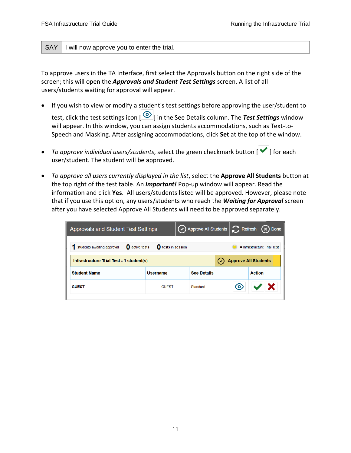#### SAY | I will now approve you to enter the trial.

 To approve users in the TA Interface, first select the Approvals button on the right side of the screen; this will open the *Approvals and Student Test Settings* screen. A list of all users/students waiting for approval will appear.

- • If you wish to view or modify a student's test settings before approving the user/student to test, click the test settings icon [ ] in the See Details column. The *Test Settings* window will appear. In this window, you can assign students accommodations, such as Text-to-Speech and Masking. After assigning accommodations, click **Set** at the top of the window.
- *To approve individual users/students*, select the green checkmark button [**V**] for each user/student. The student will be approved.
- *To approve all users currently displayed in the list*, select the **Approve All Students** button at the top right of the test table. An *Important!* Pop-up window will appear. Read the information and click **Yes**. All users/students listed will be approved. However, please note that if you use this option, any users/students who reach the *Waiting for Approval* screen after you have selected Approve All Students will need to be approved separately.

| <b>Approvals and Student Test Settings</b>                              |                              |                    |   | $\bigodot$ Approve All Students $\Big \bigodot$ Refresh $\big \bigotimes$ Done |
|-------------------------------------------------------------------------|------------------------------|--------------------|---|--------------------------------------------------------------------------------|
| active tests<br>students awaiting approval                              | $\mathbf 0$ tests in session |                    |   | $=$ Infrastructure Trial Test                                                  |
| <b>Approve All Students</b><br>Infrastructure Trial Test - 1 student(s) |                              |                    |   |                                                                                |
| <b>Student Name</b>                                                     | <b>Username</b>              | <b>See Details</b> |   | <b>Action</b>                                                                  |
| <b>GUEST</b>                                                            | <b>GUEST</b>                 | Standard           | О |                                                                                |
|                                                                         |                              |                    |   |                                                                                |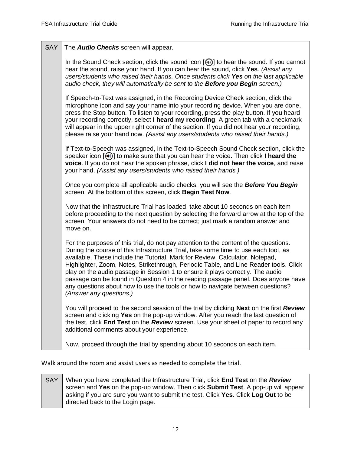| <b>SAY</b> | The Audio Checks screen will appear.                                                                                                                                                                                                                                                                                                                                                                                                                                                                                                                                                                                                      |
|------------|-------------------------------------------------------------------------------------------------------------------------------------------------------------------------------------------------------------------------------------------------------------------------------------------------------------------------------------------------------------------------------------------------------------------------------------------------------------------------------------------------------------------------------------------------------------------------------------------------------------------------------------------|
|            | In the Sound Check section, click the sound icon [10] to hear the sound. If you cannot<br>hear the sound, raise your hand. If you can hear the sound, click Yes. (Assist any<br>users/students who raised their hands. Once students click Yes on the last applicable<br>audio check, they will automatically be sent to the <b>Before you Begin</b> screen.)                                                                                                                                                                                                                                                                             |
|            | If Speech-to-Text was assigned, in the Recording Device Check section, click the<br>microphone icon and say your name into your recording device. When you are done,<br>press the Stop button. To listen to your recording, press the play button. If you heard<br>your recording correctly, select I heard my recording. A green tab with a checkmark<br>will appear in the upper right corner of the section. If you did not hear your recording,<br>please raise your hand now. (Assist any users/students who raised their hands.)                                                                                                    |
|            | If Text-to-Speech was assigned, in the Text-to-Speech Sound Check section, click the<br>speaker icon $[\mathbb{Q}]$ to make sure that you can hear the voice. Then click I heard the<br>voice. If you do not hear the spoken phrase, click I did not hear the voice, and raise<br>your hand. (Assist any users/students who raised their hands.)                                                                                                                                                                                                                                                                                          |
|            | Once you complete all applicable audio checks, you will see the Before You Begin<br>screen. At the bottom of this screen, click Begin Test Now.                                                                                                                                                                                                                                                                                                                                                                                                                                                                                           |
|            | Now that the Infrastructure Trial has loaded, take about 10 seconds on each item<br>before proceeding to the next question by selecting the forward arrow at the top of the<br>screen. Your answers do not need to be correct; just mark a random answer and<br>move on.                                                                                                                                                                                                                                                                                                                                                                  |
|            | For the purposes of this trial, do not pay attention to the content of the questions.<br>During the course of this Infrastructure Trial, take some time to use each tool, as<br>available. These include the Tutorial, Mark for Review, Calculator, Notepad,<br>Highlighter, Zoom, Notes, Strikethrough, Periodic Table, and Line Reader tools. Click<br>play on the audio passage in Session 1 to ensure it plays correctly. The audio<br>passage can be found in Question 4 in the reading passage panel. Does anyone have<br>any questions about how to use the tools or how to navigate between questions?<br>(Answer any questions.) |
|            | You will proceed to the second session of the trial by clicking <b>Next</b> on the first <b>Review</b><br>screen and clicking Yes on the pop-up window. After you reach the last question of<br>the test, click End Test on the Review screen. Use your sheet of paper to record any<br>additional comments about your experience.                                                                                                                                                                                                                                                                                                        |
|            | Now, proceed through the trial by spending about 10 seconds on each item.                                                                                                                                                                                                                                                                                                                                                                                                                                                                                                                                                                 |

Walk around the room and assist users as needed to complete the trial.

SAY | When you have completed the Infrastructure Trial, click **End Test** on the **Review**  screen and **Yes** on the pop-up window. Then click **Submit Test**. A pop-up will appear asking if you are sure you want to submit the test. Click **Yes**. Click **Log Out** to be directed back to the Login page.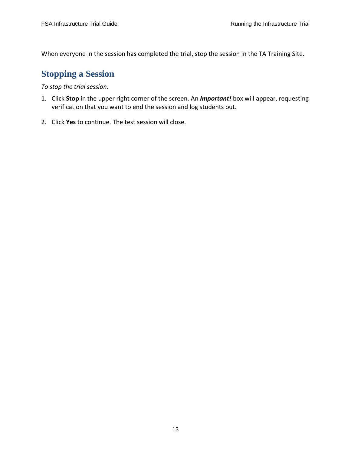When everyone in the session has completed the trial, stop the session in the TA Training Site.

### <span id="page-14-0"></span>**Stopping a Session**

 *To stop the trial session:* 

- 1. Click **Stop** in the upper right corner of the screen. An *Important!* box will appear, requesting verification that you want to end the session and log students out.
- 2. Click **Yes** to continue. The test session will close.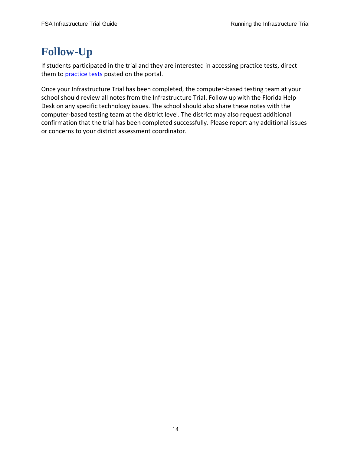# <span id="page-15-0"></span>**Follow-Up**

 If students participated in the trial and they are interested in accessing practice tests, direct them to *practice tests* posted on the portal.

 Once your Infrastructure Trial has been completed, the computer-based testing team at your school should review all notes from the Infrastructure Trial. Follow up with the Florida Help Desk on any specific technology issues. The school should also share these notes with the computer-based testing team at the district level. The district may also request additional confirmation that the trial has been completed successfully. Please report any additional issues or concerns to your district assessment coordinator.